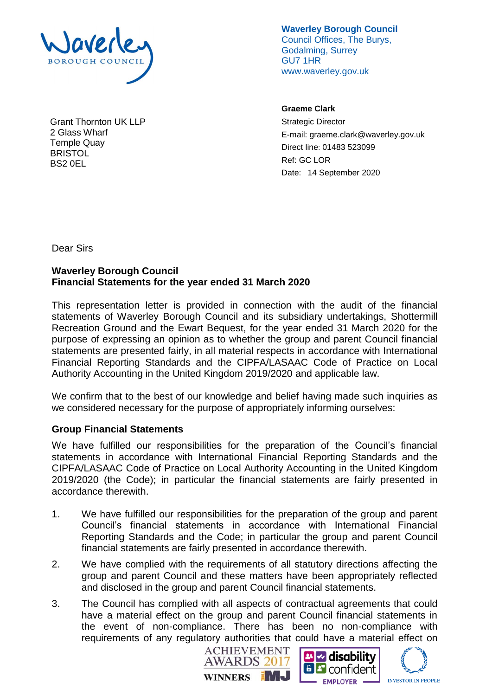

Grant Thornton UK LLP 2 Glass Wharf Temple Quay **BRISTOL** BS2 0EL

**Waverley Borough Council** Council Offices, The Burys, Godalming, Surrey GU7 1HR www.waverley.gov.uk

**Graeme Clark**

Strategic Director E-mail: graeme.clark@waverley.gov.uk Direct line: 01483 523099 Ref: GC LOR Date: 14 September 2020

Dear Sirs

# **Waverley Borough Council Financial Statements for the year ended 31 March 2020**

This representation letter is provided in connection with the audit of the financial statements of Waverley Borough Council and its subsidiary undertakings, Shottermill Recreation Ground and the Ewart Bequest, for the year ended 31 March 2020 for the purpose of expressing an opinion as to whether the group and parent Council financial statements are presented fairly, in all material respects in accordance with International Financial Reporting Standards and the CIPFA/LASAAC Code of Practice on Local Authority Accounting in the United Kingdom 2019/2020 and applicable law.

We confirm that to the best of our knowledge and belief having made such inquiries as we considered necessary for the purpose of appropriately informing ourselves:

## **Group Financial Statements**

We have fulfilled our responsibilities for the preparation of the Council's financial statements in accordance with International Financial Reporting Standards and the CIPFA/LASAAC Code of Practice on Local Authority Accounting in the United Kingdom 2019/2020 (the Code); in particular the financial statements are fairly presented in accordance therewith.

- 1. We have fulfilled our responsibilities for the preparation of the group and parent Council's financial statements in accordance with International Financial Reporting Standards and the Code; in particular the group and parent Council financial statements are fairly presented in accordance therewith.
- 2. We have complied with the requirements of all statutory directions affecting the group and parent Council and these matters have been appropriately reflected and disclosed in the group and parent Council financial statements.
- 3. The Council has complied with all aspects of contractual agreements that could have a material effect on the group and parent Council financial statements in the event of non-compliance. There has been no non-compliance with requirements of any regulatory authorities that could have a material effect on





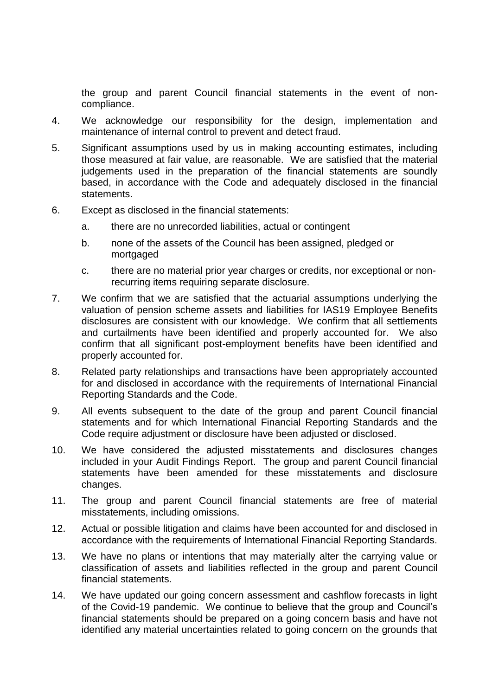the group and parent Council financial statements in the event of noncompliance.

- 4. We acknowledge our responsibility for the design, implementation and maintenance of internal control to prevent and detect fraud.
- 5. Significant assumptions used by us in making accounting estimates, including those measured at fair value, are reasonable. We are satisfied that the material judgements used in the preparation of the financial statements are soundly based, in accordance with the Code and adequately disclosed in the financial statements.
- 6. Except as disclosed in the financial statements:
	- a. there are no unrecorded liabilities, actual or contingent
	- b. none of the assets of the Council has been assigned, pledged or mortgaged
	- c. there are no material prior year charges or credits, nor exceptional or nonrecurring items requiring separate disclosure.
- 7. We confirm that we are satisfied that the actuarial assumptions underlying the valuation of pension scheme assets and liabilities for IAS19 Employee Benefits disclosures are consistent with our knowledge. We confirm that all settlements and curtailments have been identified and properly accounted for. We also confirm that all significant post-employment benefits have been identified and properly accounted for.
- 8. Related party relationships and transactions have been appropriately accounted for and disclosed in accordance with the requirements of International Financial Reporting Standards and the Code.
- 9. All events subsequent to the date of the group and parent Council financial statements and for which International Financial Reporting Standards and the Code require adjustment or disclosure have been adjusted or disclosed.
- 10. We have considered the adjusted misstatements and disclosures changes included in your Audit Findings Report. The group and parent Council financial statements have been amended for these misstatements and disclosure changes.
- 11. The group and parent Council financial statements are free of material misstatements, including omissions.
- 12. Actual or possible litigation and claims have been accounted for and disclosed in accordance with the requirements of International Financial Reporting Standards.
- 13. We have no plans or intentions that may materially alter the carrying value or classification of assets and liabilities reflected in the group and parent Council financial statements.
- 14. We have updated our going concern assessment and cashflow forecasts in light of the Covid-19 pandemic. We continue to believe that the group and Council's financial statements should be prepared on a going concern basis and have not identified any material uncertainties related to going concern on the grounds that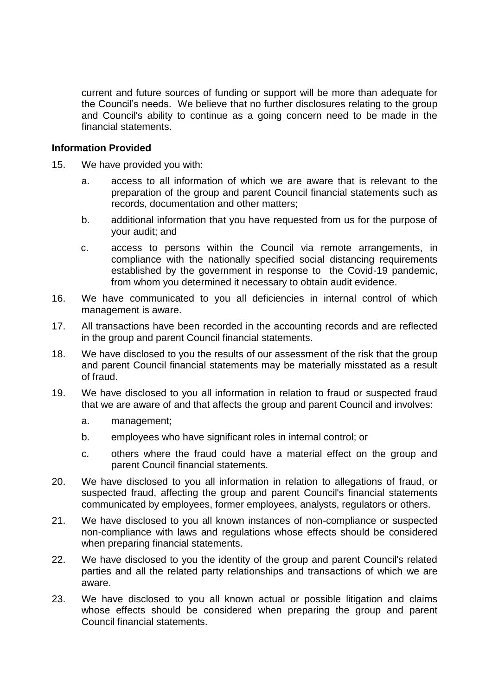current and future sources of funding or support will be more than adequate for the Council's needs. We believe that no further disclosures relating to the group and Council's ability to continue as a going concern need to be made in the financial statements.

#### **Information Provided**

- 15. We have provided you with:
	- a. access to all information of which we are aware that is relevant to the preparation of the group and parent Council financial statements such as records, documentation and other matters;
	- b. additional information that you have requested from us for the purpose of your audit; and
	- c. access to persons within the Council via remote arrangements, in compliance with the nationally specified social distancing requirements established by the government in response to the Covid-19 pandemic, from whom you determined it necessary to obtain audit evidence.
- 16. We have communicated to you all deficiencies in internal control of which management is aware.
- 17. All transactions have been recorded in the accounting records and are reflected in the group and parent Council financial statements.
- 18. We have disclosed to you the results of our assessment of the risk that the group and parent Council financial statements may be materially misstated as a result of fraud.
- 19. We have disclosed to you all information in relation to fraud or suspected fraud that we are aware of and that affects the group and parent Council and involves:
	- a. management;
	- b. employees who have significant roles in internal control; or
	- c. others where the fraud could have a material effect on the group and parent Council financial statements.
- 20. We have disclosed to you all information in relation to allegations of fraud, or suspected fraud, affecting the group and parent Council's financial statements communicated by employees, former employees, analysts, regulators or others.
- 21. We have disclosed to you all known instances of non-compliance or suspected non-compliance with laws and regulations whose effects should be considered when preparing financial statements.
- 22. We have disclosed to you the identity of the group and parent Council's related parties and all the related party relationships and transactions of which we are aware.
- 23. We have disclosed to you all known actual or possible litigation and claims whose effects should be considered when preparing the group and parent Council financial statements.